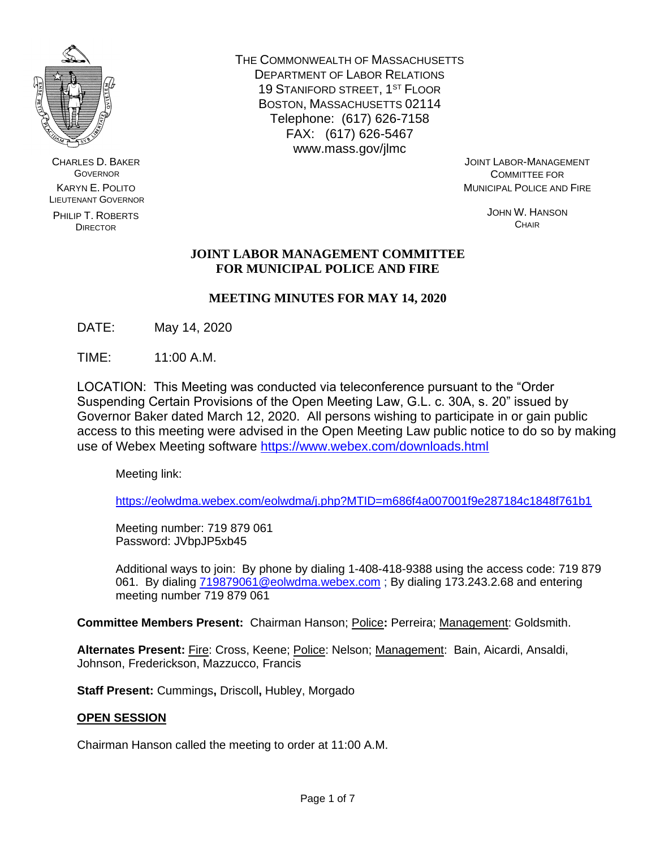

CHARLES D. BAKER **GOVERNOR** KARYN E. POLITO LIEUTENANT GOVERNOR

PHILIP T. ROBERTS **DIRECTOR** 

THE COMMONWEALTH OF MASSACHUSETTS DEPARTMENT OF LABOR RELATIONS 19 STANIFORD STREET, 1ST FLOOR BOSTON, MASSACHUSETTS 02114 Telephone: (617) 626-7158 FAX: (617) 626-5467 www.mass.gov/jlmc

JOINT LABOR-MANAGEMENT COMMITTEE FOR MUNICIPAL POLICE AND FIRE

> JOHN W. HANSON **CHAIR**

# **JOINT LABOR MANAGEMENT COMMITTEE FOR MUNICIPAL POLICE AND FIRE**

# **MEETING MINUTES FOR MAY 14, 2020**

DATE: May 14, 2020

TIME: 11:00 A.M.

LOCATION: This Meeting was conducted via teleconference pursuant to the "Order Suspending Certain Provisions of the Open Meeting Law, G.L. c. 30A, s. 20" issued by Governor Baker dated March 12, 2020. All persons wishing to participate in or gain public access to this meeting were advised in the Open Meeting Law public notice to do so by making use of Webex Meeting software<https://www.webex.com/downloads.html>

Meeting link:

<https://eolwdma.webex.com/eolwdma/j.php?MTID=m686f4a007001f9e287184c1848f761b1>

Meeting number: 719 879 061 Password: JVbpJP5xb45

Additional ways to join: By phone by dialing 1-408-418-9388 using the access code: 719 879 061. By dialing [719879061@eolwdma.webex.com](mailto:719879061@eolwdma.webex.com) ; By dialing 173.243.2.68 and entering meeting number 719 879 061

**Committee Members Present:** Chairman Hanson; Police**:** Perreira; Management: Goldsmith.

**Alternates Present:** Fire: Cross, Keene; Police: Nelson; Management: Bain, Aicardi, Ansaldi, Johnson, Frederickson, Mazzucco, Francis

**Staff Present:** Cummings**,** Driscoll**,** Hubley, Morgado

# **OPEN SESSION**

Chairman Hanson called the meeting to order at 11:00 A.M.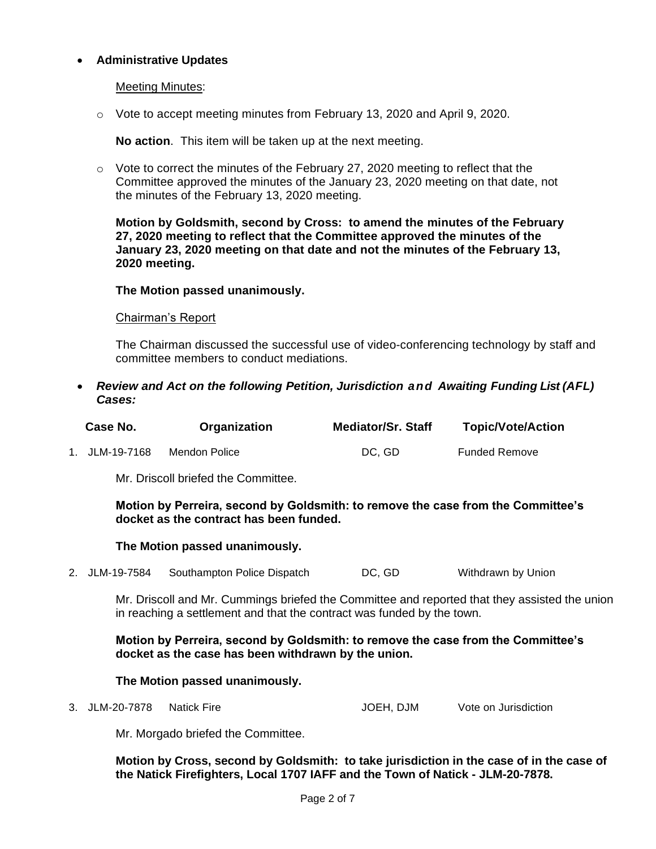## • **Administrative Updates**

### Meeting Minutes:

 $\circ$  Vote to accept meeting minutes from February 13, 2020 and April 9, 2020.

**No action**. This item will be taken up at the next meeting.

 $\circ$  Vote to correct the minutes of the February 27, 2020 meeting to reflect that the Committee approved the minutes of the January 23, 2020 meeting on that date, not the minutes of the February 13, 2020 meeting.

**Motion by Goldsmith, second by Cross: to amend the minutes of the February 27, 2020 meeting to reflect that the Committee approved the minutes of the January 23, 2020 meeting on that date and not the minutes of the February 13, 2020 meeting.** 

### **The Motion passed unanimously.**

#### Chairman's Report

The Chairman discussed the successful use of video-conferencing technology by staff and committee members to conduct mediations.

• *Review and Act on the following Petition, Jurisdiction and Awaiting Funding List (AFL) Cases:*

| Case No.       | Organization  | <b>Mediator/Sr. Staff</b> | <b>Topic/Vote/Action</b> |
|----------------|---------------|---------------------------|--------------------------|
| 1. JLM-19-7168 | Mendon Police | DC. GD                    | <b>Funded Remove</b>     |

Mr. Driscoll briefed the Committee.

**Motion by Perreira, second by Goldsmith: to remove the case from the Committee's docket as the contract has been funded.**

### **The Motion passed unanimously.**

2. JLM-19-7584 Southampton Police Dispatch DC, GD Withdrawn by Union

Mr. Driscoll and Mr. Cummings briefed the Committee and reported that they assisted the union in reaching a settlement and that the contract was funded by the town.

**Motion by Perreira, second by Goldsmith: to remove the case from the Committee's docket as the case has been withdrawn by the union.**

#### **The Motion passed unanimously.**

3. JLM-20-7878 Natick Fire  $JOEH$ , DJM Vote on Jurisdiction

Mr. Morgado briefed the Committee.

**Motion by Cross, second by Goldsmith: to take jurisdiction in the case of in the case of the Natick Firefighters, Local 1707 IAFF and the Town of Natick - JLM-20-7878.**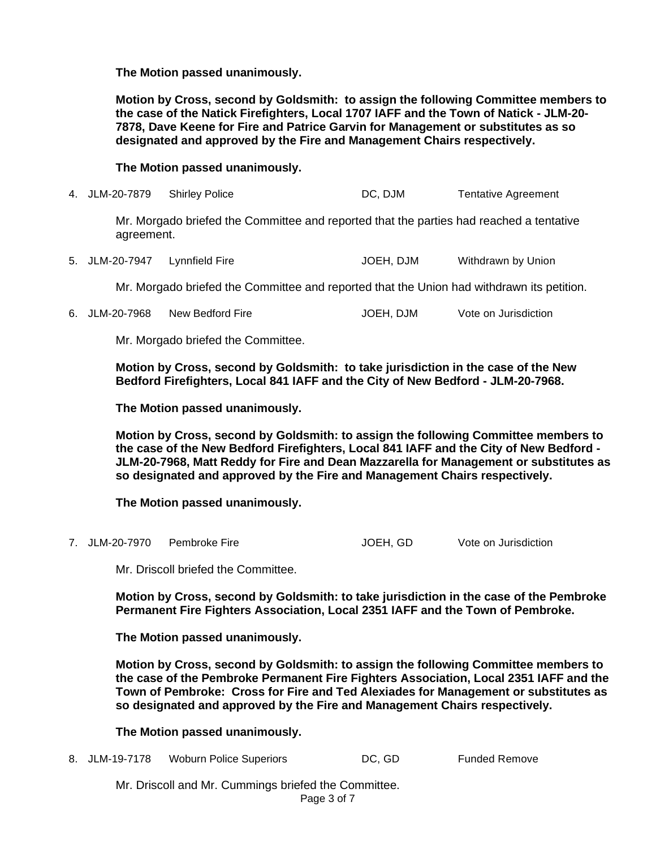**The Motion passed unanimously.**

**Motion by Cross, second by Goldsmith: to assign the following Committee members to the case of the Natick Firefighters, Local 1707 IAFF and the Town of Natick - JLM-20- 7878, Dave Keene for Fire and Patrice Garvin for Management or substitutes as so designated and approved by the Fire and Management Chairs respectively.**

## **The Motion passed unanimously.**

4. JLM-20-7879 Shirley Police **DC, DJM** Tentative Agreement

Mr. Morgado briefed the Committee and reported that the parties had reached a tentative agreement.

5. JLM-20-7947 Lynnfield Fire Same Hotel Hotel And JOEH, DJM Withdrawn by Union

Mr. Morgado briefed the Committee and reported that the Union had withdrawn its petition.

6. JLM-20-7968 New Bedford Fire Same School JOEH, DJM Vote on Jurisdiction

Mr. Morgado briefed the Committee.

**Motion by Cross, second by Goldsmith: to take jurisdiction in the case of the New Bedford Firefighters, Local 841 IAFF and the City of New Bedford - JLM-20-7968.**

**The Motion passed unanimously.**

**Motion by Cross, second by Goldsmith: to assign the following Committee members to the case of the New Bedford Firefighters, Local 841 IAFF and the City of New Bedford - JLM-20-7968, Matt Reddy for Fire and Dean Mazzarella for Management or substitutes as so designated and approved by the Fire and Management Chairs respectively.**

### **The Motion passed unanimously.**

7. JLM-20-7970 Pembroke Fire Sand Communication JOEH, GD Vote on Jurisdiction

Mr. Driscoll briefed the Committee.

**Motion by Cross, second by Goldsmith: to take jurisdiction in the case of the Pembroke Permanent Fire Fighters Association, Local 2351 IAFF and the Town of Pembroke.**

**The Motion passed unanimously.**

**Motion by Cross, second by Goldsmith: to assign the following Committee members to the case of the Pembroke Permanent Fire Fighters Association, Local 2351 IAFF and the Town of Pembroke: Cross for Fire and Ted Alexiades for Management or substitutes as so designated and approved by the Fire and Management Chairs respectively.**

**The Motion passed unanimously.**

8. JLM-19-7178 Woburn Police Superiors **DC, GD Funded Remove** 

Page 3 of 7 Mr. Driscoll and Mr. Cummings briefed the Committee.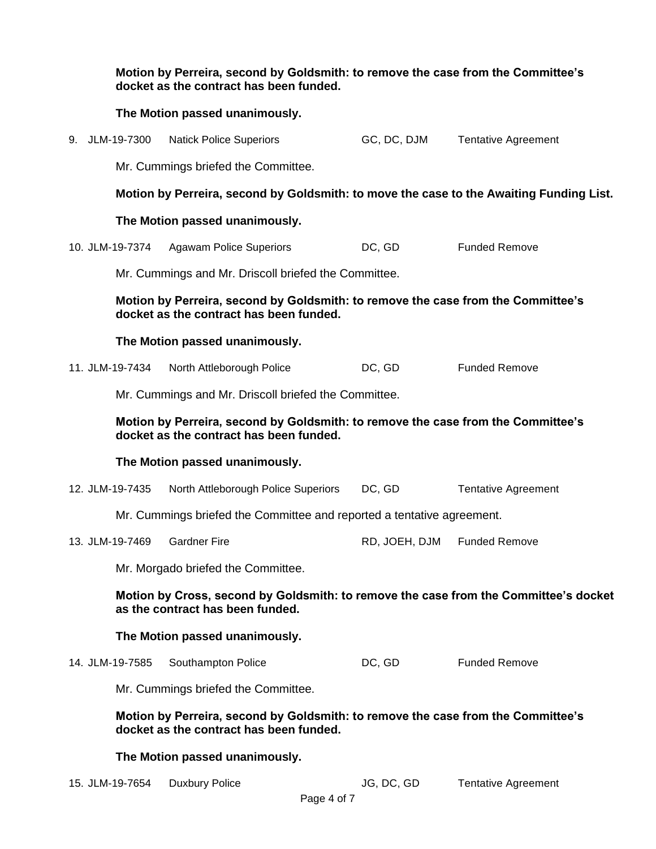|                                                                                                                             | Motion by Perreira, second by Goldsmith: to remove the case from the Committee's<br>docket as the contract has been funded. |                                                                                                                             |             |                             |                                                                                         |
|-----------------------------------------------------------------------------------------------------------------------------|-----------------------------------------------------------------------------------------------------------------------------|-----------------------------------------------------------------------------------------------------------------------------|-------------|-----------------------------|-----------------------------------------------------------------------------------------|
|                                                                                                                             |                                                                                                                             | The Motion passed unanimously.                                                                                              |             |                             |                                                                                         |
|                                                                                                                             | 9. JLM-19-7300                                                                                                              | <b>Natick Police Superiors</b>                                                                                              |             | GC, DC, DJM                 | <b>Tentative Agreement</b>                                                              |
|                                                                                                                             |                                                                                                                             | Mr. Cummings briefed the Committee.                                                                                         |             |                             |                                                                                         |
|                                                                                                                             |                                                                                                                             |                                                                                                                             |             |                             | Motion by Perreira, second by Goldsmith: to move the case to the Awaiting Funding List. |
|                                                                                                                             |                                                                                                                             | The Motion passed unanimously.                                                                                              |             |                             |                                                                                         |
|                                                                                                                             | 10. JLM-19-7374                                                                                                             | <b>Agawam Police Superiors</b>                                                                                              |             | DC, GD                      | <b>Funded Remove</b>                                                                    |
|                                                                                                                             |                                                                                                                             | Mr. Cummings and Mr. Driscoll briefed the Committee.                                                                        |             |                             |                                                                                         |
| Motion by Perreira, second by Goldsmith: to remove the case from the Committee's<br>docket as the contract has been funded. |                                                                                                                             |                                                                                                                             |             |                             |                                                                                         |
|                                                                                                                             |                                                                                                                             | The Motion passed unanimously.                                                                                              |             |                             |                                                                                         |
|                                                                                                                             | 11. JLM-19-7434                                                                                                             | North Attleborough Police                                                                                                   |             | DC, GD                      | <b>Funded Remove</b>                                                                    |
|                                                                                                                             |                                                                                                                             | Mr. Cummings and Mr. Driscoll briefed the Committee.                                                                        |             |                             |                                                                                         |
|                                                                                                                             |                                                                                                                             | Motion by Perreira, second by Goldsmith: to remove the case from the Committee's<br>docket as the contract has been funded. |             |                             |                                                                                         |
|                                                                                                                             |                                                                                                                             | The Motion passed unanimously.                                                                                              |             |                             |                                                                                         |
|                                                                                                                             | 12. JLM-19-7435                                                                                                             | North Attleborough Police Superiors                                                                                         |             | DC, GD                      | <b>Tentative Agreement</b>                                                              |
|                                                                                                                             |                                                                                                                             | Mr. Cummings briefed the Committee and reported a tentative agreement.                                                      |             |                             |                                                                                         |
|                                                                                                                             |                                                                                                                             | 13. JLM-19-7469 Gardner Fire                                                                                                |             | RD, JOEH, DJM Funded Remove |                                                                                         |
|                                                                                                                             |                                                                                                                             | Mr. Morgado briefed the Committee.                                                                                          |             |                             |                                                                                         |
|                                                                                                                             |                                                                                                                             | as the contract has been funded.                                                                                            |             |                             | Motion by Cross, second by Goldsmith: to remove the case from the Committee's docket    |
|                                                                                                                             |                                                                                                                             | The Motion passed unanimously.                                                                                              |             |                             |                                                                                         |
|                                                                                                                             | 14. JLM-19-7585                                                                                                             | Southampton Police                                                                                                          |             | DC, GD                      | <b>Funded Remove</b>                                                                    |
|                                                                                                                             |                                                                                                                             | Mr. Cummings briefed the Committee.                                                                                         |             |                             |                                                                                         |
|                                                                                                                             |                                                                                                                             | Motion by Perreira, second by Goldsmith: to remove the case from the Committee's<br>docket as the contract has been funded. |             |                             |                                                                                         |
|                                                                                                                             |                                                                                                                             | The Motion passed unanimously.                                                                                              |             |                             |                                                                                         |
|                                                                                                                             | 15. JLM-19-7654                                                                                                             | <b>Duxbury Police</b>                                                                                                       | Page 4 of 7 | JG, DC, GD                  | <b>Tentative Agreement</b>                                                              |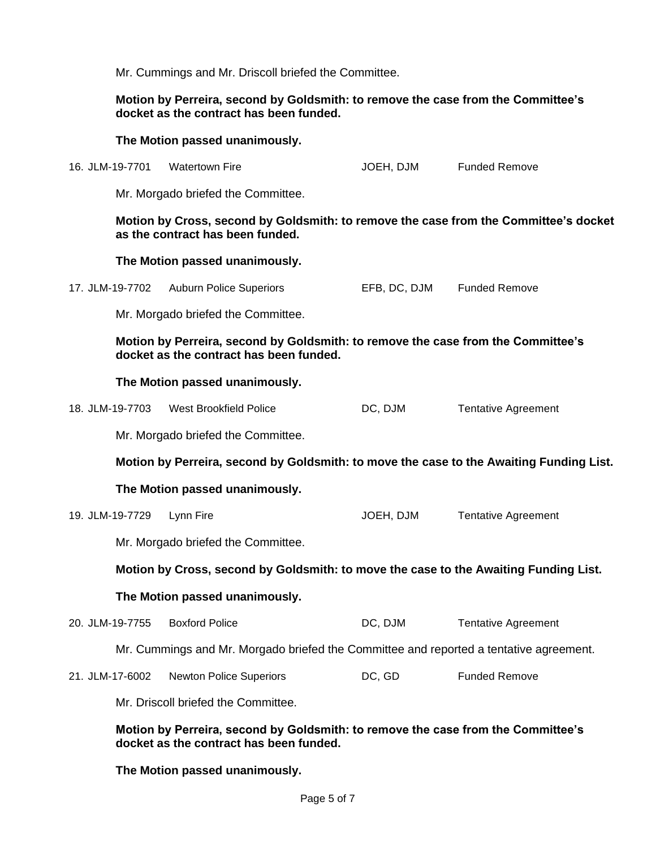Mr. Cummings and Mr. Driscoll briefed the Committee.

## **Motion by Perreira, second by Goldsmith: to remove the case from the Committee's docket as the contract has been funded.**

#### **The Motion passed unanimously.**

16. JLM-19-7701 Watertown Fire Charles Communication Motor JOEH, DJM Funded Remove

Mr. Morgado briefed the Committee.

### **Motion by Cross, second by Goldsmith: to remove the case from the Committee's docket as the contract has been funded.**

## **The Motion passed unanimously.**

|  | 17. JLM-19-7702 Auburn Police Superiors | EFB, DC, DJM | <b>Funded Remove</b> |
|--|-----------------------------------------|--------------|----------------------|
|--|-----------------------------------------|--------------|----------------------|

Mr. Morgado briefed the Committee.

**Motion by Perreira, second by Goldsmith: to remove the case from the Committee's docket as the contract has been funded.**

#### **The Motion passed unanimously.**

| 18. JLM-19-7703 | West Brookfield Police | DC, DJM | <b>Tentative Agreement</b> |
|-----------------|------------------------|---------|----------------------------|
|-----------------|------------------------|---------|----------------------------|

Mr. Morgado briefed the Committee.

**Motion by Perreira, second by Goldsmith: to move the case to the Awaiting Funding List.**

### **The Motion passed unanimously.**

| 19. JLM-19-7729 Lynn Fire | JOEH. DJM | Tentative Agreement |
|---------------------------|-----------|---------------------|

Mr. Morgado briefed the Committee.

### **Motion by Cross, second by Goldsmith: to move the case to the Awaiting Funding List.**

### **The Motion passed unanimously.**

| 20. JLM-19-7755 Boxford Police | DC, DJM | <b>Tentative Agreement</b> |
|--------------------------------|---------|----------------------------|
|--------------------------------|---------|----------------------------|

Mr. Cummings and Mr. Morgado briefed the Committee and reported a tentative agreement.

| 21. JLM-17-6002 | Newton Police Superiors | DC, GD | <b>Funded Remove</b> |
|-----------------|-------------------------|--------|----------------------|
|-----------------|-------------------------|--------|----------------------|

Mr. Driscoll briefed the Committee.

## **Motion by Perreira, second by Goldsmith: to remove the case from the Committee's docket as the contract has been funded.**

### **The Motion passed unanimously.**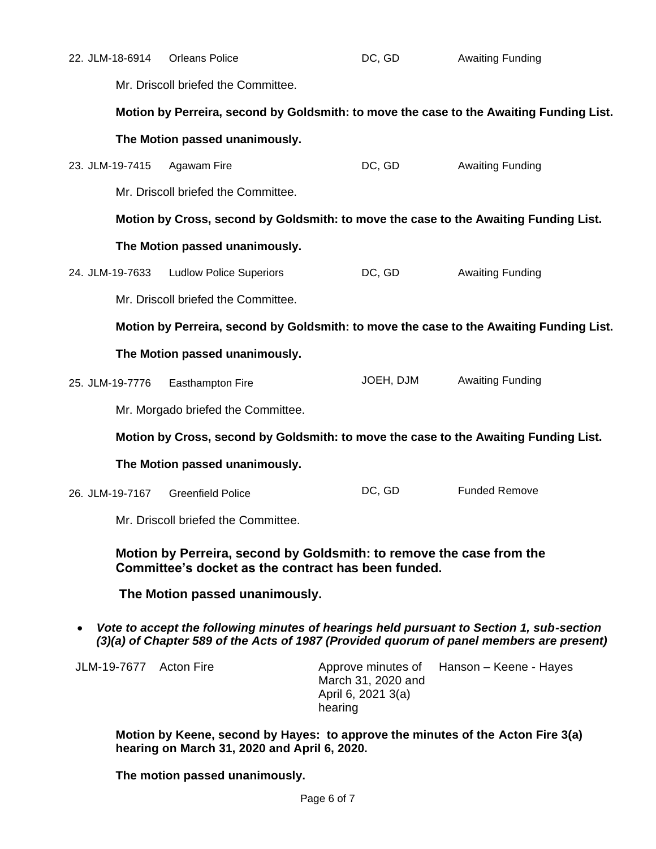| 22. JLM-18-6914                                                                                                                                                                      | <b>Orleans Police</b>               | DC, GD                                                                    | <b>Awaiting Funding</b>                                                                 |
|--------------------------------------------------------------------------------------------------------------------------------------------------------------------------------------|-------------------------------------|---------------------------------------------------------------------------|-----------------------------------------------------------------------------------------|
| Mr. Driscoll briefed the Committee.                                                                                                                                                  |                                     |                                                                           |                                                                                         |
|                                                                                                                                                                                      |                                     |                                                                           | Motion by Perreira, second by Goldsmith: to move the case to the Awaiting Funding List. |
|                                                                                                                                                                                      | The Motion passed unanimously.      |                                                                           |                                                                                         |
| 23. JLM-19-7415                                                                                                                                                                      | Agawam Fire                         | DC, GD                                                                    | <b>Awaiting Funding</b>                                                                 |
|                                                                                                                                                                                      | Mr. Driscoll briefed the Committee. |                                                                           |                                                                                         |
|                                                                                                                                                                                      |                                     |                                                                           | Motion by Cross, second by Goldsmith: to move the case to the Awaiting Funding List.    |
|                                                                                                                                                                                      | The Motion passed unanimously.      |                                                                           |                                                                                         |
| 24. JLM-19-7633                                                                                                                                                                      | <b>Ludlow Police Superiors</b>      | DC, GD                                                                    | <b>Awaiting Funding</b>                                                                 |
|                                                                                                                                                                                      | Mr. Driscoll briefed the Committee. |                                                                           |                                                                                         |
|                                                                                                                                                                                      |                                     |                                                                           | Motion by Perreira, second by Goldsmith: to move the case to the Awaiting Funding List. |
|                                                                                                                                                                                      | The Motion passed unanimously.      |                                                                           |                                                                                         |
| 25. JLM-19-7776                                                                                                                                                                      | Easthampton Fire                    | JOEH, DJM                                                                 | <b>Awaiting Funding</b>                                                                 |
|                                                                                                                                                                                      | Mr. Morgado briefed the Committee.  |                                                                           |                                                                                         |
|                                                                                                                                                                                      |                                     |                                                                           | Motion by Cross, second by Goldsmith: to move the case to the Awaiting Funding List.    |
|                                                                                                                                                                                      | The Motion passed unanimously.      |                                                                           |                                                                                         |
| 26. JLM-19-7167                                                                                                                                                                      | <b>Greenfield Police</b>            | DC, GD                                                                    | <b>Funded Remove</b>                                                                    |
|                                                                                                                                                                                      | Mr. Driscoll briefed the Committee. |                                                                           |                                                                                         |
| Motion by Perreira, second by Goldsmith: to remove the case from the<br>Committee's docket as the contract has been funded.                                                          |                                     |                                                                           |                                                                                         |
| The Motion passed unanimously.                                                                                                                                                       |                                     |                                                                           |                                                                                         |
| Vote to accept the following minutes of hearings held pursuant to Section 1, sub-section<br>(3)(a) of Chapter 589 of the Acts of 1987 (Provided quorum of panel members are present) |                                     |                                                                           |                                                                                         |
| JLM-19-7677 Acton Fire                                                                                                                                                               |                                     | Approve minutes of<br>March 31, 2020 and<br>April 6, 2021 3(a)<br>hearing | Hanson - Keene - Hayes                                                                  |
| Motion by Keene, second by Hayes: to approve the minutes of the Acton Fire 3(a)                                                                                                      |                                     |                                                                           |                                                                                         |

**The motion passed unanimously.**

**hearing on March 31, 2020 and April 6, 2020.**